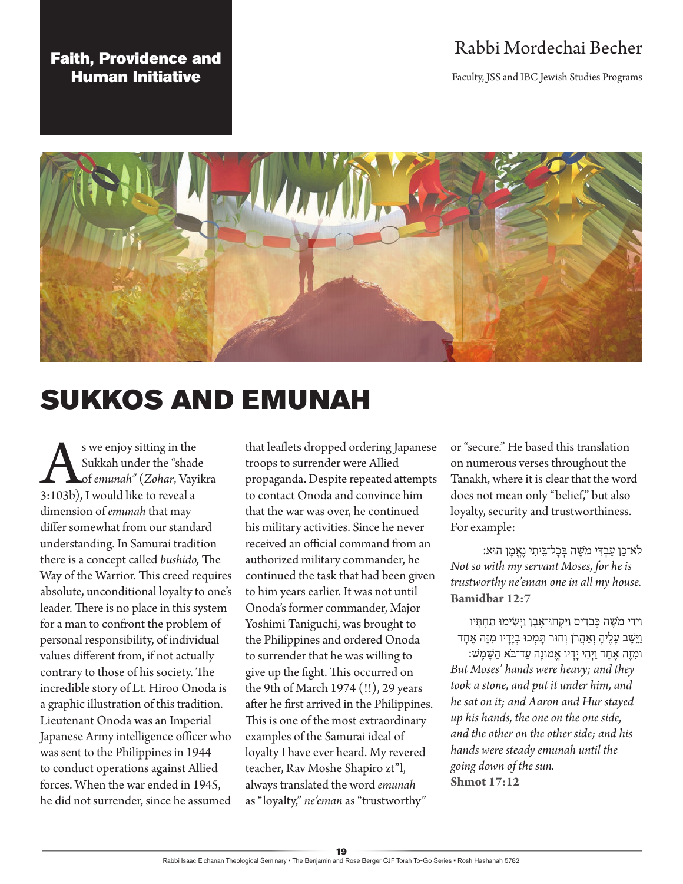# Rabbi Mordechai Becher

Faculty, JSS and IBC Jewish Studies Programs

## Faith, Providence and Human Initiative



# SUKKOS AND EMUNAH

Sukkah under the "shad"<br>
Sukkah under the "shad"<br>
3:103b), I would like to reveal a Sukkah under the "shade of *emunah"* (*Zohar*, Vayikra dimension of *emunah* that may differ somewhat from our standard understanding. In Samurai tradition there is a concept called *bushido,* The Way of the Warrior. This creed requires absolute, unconditional loyalty to one's leader. There is no place in this system for a man to confront the problem of personal responsibility, of individual values different from, if not actually contrary to those of his society. The incredible story of Lt. Hiroo Onoda is a graphic illustration of this tradition. Lieutenant Onoda was an Imperial Japanese Army intelligence officer who was sent to the Philippines in 1944 to conduct operations against Allied forces. When the war ended in 1945, he did not surrender, since he assumed

that leaflets dropped ordering Japanese troops to surrender were Allied propaganda. Despite repeated attempts to contact Onoda and convince him that the war was over, he continued his military activities. Since he never received an official command from an authorized military commander, he continued the task that had been given to him years earlier. It was not until Onoda's former commander, Major Yoshimi Taniguchi, was brought to the Philippines and ordered Onoda to surrender that he was willing to give up the fight. This occurred on the 9th of March 1974 (!!), 29 years after he first arrived in the Philippines. This is one of the most extraordinary examples of the Samurai ideal of loyalty I have ever heard. My revered teacher, Rav Moshe Shapiro zt"l, always translated the word *emunah* as "loyalty," *ne'eman* as "trustworthy"

or "secure." He based this translation on numerous verses throughout the Tanakh, where it is clear that the word does not mean only "belief," but also loyalty, security and trustworthiness. For example:

לֹא־כֵ ן עַ בְ ִדּי מֹשֶׁ ה בּ ְ כָל־בֵּ יתִ י נֶאֱ מָ ן הוּא: *Not so with my servant Moses, for he is trustworthy ne'eman one in all my house.*  **Bamidbar 12:7**

וִידֵי מֹשֶׁה כִּבֶדִים וַיִּקְחוּ־אֶבֶן וַיַּשְׂימוּ תַחְתַּיו וַיֵּשֶׁב עָלֶיהָ וְאַהֲרֹן וְחוּר תָּמְכוּ בְיָדָיו מִזֶּה אֶחָד ומִ זֶּ ה אֶ חָ ד וַ יְהִ י יָדָ יו אֱ מוּנָה עַ ד־בֹּא הַ ָשּׁמֶ שׁ: *But Moses' hands were heavy; and they took a stone, and put it under him, and he sat on it; and Aaron and Hur stayed up his hands, the one on the one side, and the other on the other side; and his hands were steady emunah until the going down of the sun.*  **Shmot 17:12**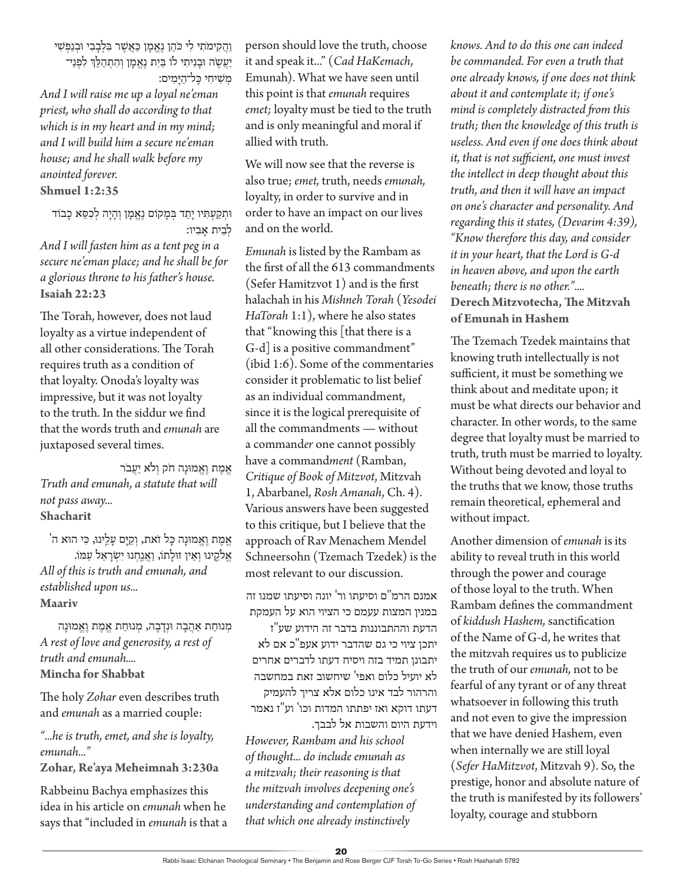#### וַ הֲ קִ ימֹתִ י לִ י כֹּהֵ ן נֶאֱ מָ ן ַכּאֲ שֶׁ ר בּ ִ לְ בָ בִ י וּבְ נַפְ שׁ ִ י יַעֲשֶה וּבַנִיתִי לוֹ בַּיִת נֵאֱמַן וְהִתְהַלֵּךְ לִפְנֵי־ מִשִׁיחי כּל־היִּמִים:

*And I will raise me up a loyal ne'eman priest, who shall do according to that which is in my heart and in my mind; and I will build him a secure ne'eman house; and he shall walk before my anointed forever.*  **Shmuel 1:2:35**

וּתְקַעְתִּיו יָתֵד בְּמָקוֹם נֶאֱמָן וְהָיָה לְכִסֵּא כָבוֹד לִבית אָבִיו:

*And I will fasten him as a tent peg in a secure ne'eman place; and he shall be for a glorious throne to his father's house.*  **Isaiah 22:23**

The Torah, however, does not laud loyalty as a virtue independent of all other considerations. The Torah requires truth as a condition of that loyalty. Onoda's loyalty was impressive, but it was not loyalty to the truth. In the siddur we find that the words truth and *emunah* are juxtaposed several times.

אֶמֶת וֶאֱמוּנָה חֹק וְלֹא יַעֲבֹר *Truth and emunah, a statute that will not pass away...*  **Shacharit**

אֶמֶת וַאֲמוּנַה כַּל זֹאת, וְקַיַּם עַלֵינוּ, כִּי הוּא ה' אֵלקֵינוּ וְאֵין זוּלַתוֹ, <u>וַאֲנ</u>ַחְנוּ יִשְׂרָאֵל עַמּוֹ. *All of this is truth and emunah, and established upon us...*  **Maariv**

מְנוּחַת אַהֲבָה וּנְדָבָה, מְנוּחַת אֱמֶת וֶאֱמוּנָה *A rest of love and generosity, a rest of truth and emunah....*  **Mincha for Shabbat**

The holy *Zohar* even describes truth and *emunah* as a married couple:

*"...he is truth, emet, and she is loyalty, emunah..."*  **Zohar, Re'aya Meheimnah 3:230a**

Rabbeinu Bachya emphasizes this idea in his article on *emunah* when he says that "included in *emunah* is that a person should love the truth, choose it and speak it..." (*Cad HaKemach*, Emunah). What we have seen until this point is that *emunah* requires *emet;* loyalty must be tied to the truth and is only meaningful and moral if allied with truth.

We will now see that the reverse is also true; *emet,* truth, needs *emunah,* loyalty, in order to survive and in order to have an impact on our lives and on the world.

*Emunah* is listed by the Rambam as the first of all the 613 commandments (Sefer Hamitzvot 1) and is the first halachah in his *Mishneh Torah* (*Yesodei HaTorah* 1:1), where he also states that "knowing this [that there is a G-d] is a positive commandment" (ibid 1:6). Some of the commentaries consider it problematic to list belief as an individual commandment, since it is the logical prerequisite of all the commandments — without a command*er* one cannot possibly have a command*ment* (Ramban, *Critique of Book of Mitzvot*, Mitzvah 1, Abarbanel, *Rosh Amanah*, Ch. 4). Various answers have been suggested to this critique, but I believe that the approach of Rav Menachem Mendel Schneersohn (Tzemach Tzedek) is the most relevant to our discussion.

אמנם הרמ"ם וסיעתו ור' יונה וסיעתו שמנו זה במנין המצות עעמם כי הציוי הוא על העמקת

הדעת וההתבוננות בדבר זה הידוע שע"ז יתכן ציוי כי גם שהדבר ידוע אעפ"כ אם לא יתבונן תמיד בזה ויסיח דעתו לדברים אחרים לא יועיל כלום ואפי' שיחשוב זאת במחשבה והרהור לבד אינו כלום אלא צריך להעמיק דעתו דוקא ואז יפתתו המדות וכו' וע"ז נאמר וידעת היום והשבות אל לבבך.

*However, Rambam and his school of thought... do include emunah as a mitzvah; their reasoning is that the mitzvah involves deepening one's understanding and contemplation of that which one already instinctively* 

*knows. And to do this one can indeed be commanded. For even a truth that one already knows, if one does not think about it and contemplate it; if one's mind is completely distracted from this truth; then the knowledge of this truth is useless. And even if one does think about it, that is not sufficient, one must invest the intellect in deep thought about this truth, and then it will have an impact on one's character and personality. And regarding this it states, (Devarim 4:39), "Know therefore this day, and consider it in your heart, that the Lord is G-d in heaven above, and upon the earth beneath; there is no other."....*  **Derech Mitzvotecha, The Mitzvah of Emunah in Hashem**

The Tzemach Tzedek maintains that knowing truth intellectually is not sufficient, it must be something we think about and meditate upon; it must be what directs our behavior and character. In other words, to the same degree that loyalty must be married to truth, truth must be married to loyalty. Without being devoted and loyal to the truths that we know, those truths remain theoretical, ephemeral and without impact.

Another dimension of *emunah* is its ability to reveal truth in this world through the power and courage of those loyal to the truth. When Rambam defines the commandment of *kiddush Hashem,* sanctification of the Name of G-d, he writes that the mitzvah requires us to publicize the truth of our *emunah,* not to be fearful of any tyrant or of any threat whatsoever in following this truth and not even to give the impression that we have denied Hashem, even when internally we are still loyal (*Sefer HaMitzvot*, Mitzvah 9). So, the prestige, honor and absolute nature of the truth is manifested by its followers' loyalty, courage and stubborn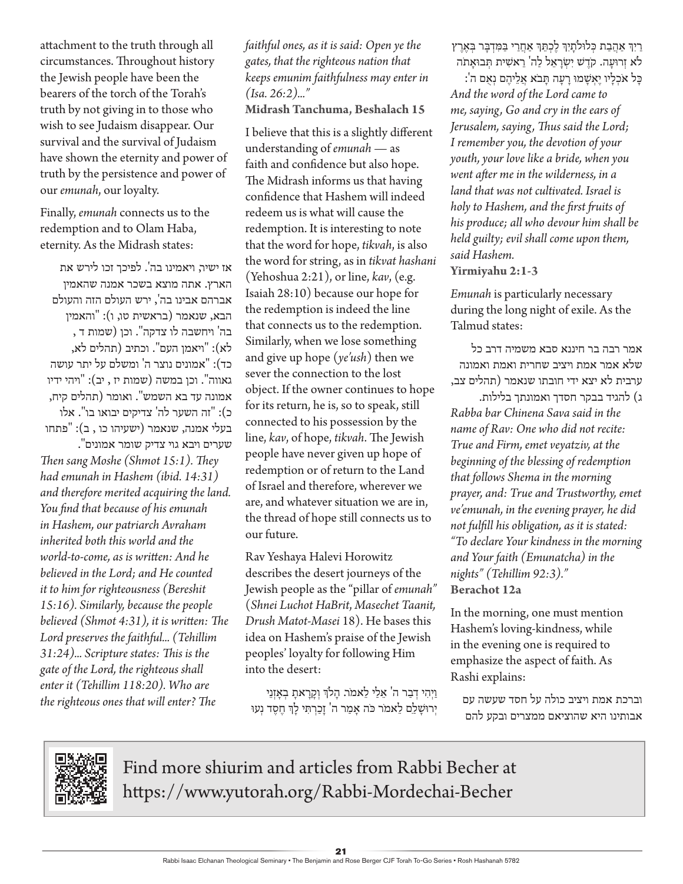attachment to the truth through all circumstances. Throughout history the Jewish people have been the bearers of the torch of the Torah's truth by not giving in to those who wish to see Judaism disappear. Our survival and the survival of Judaism have shown the eternity and power of truth by the persistence and power of our *emunah*, our loyalty.

Finally, *emunah* connects us to the redemption and to Olam Haba, eternity. As the Midrash states:

אז ישיר, ויאמינו בה'. לפיכך זכו לירש את הארץ. אתה מוצא בשכר אמנה שהאמין אברהם אבינו בה', ירש העולם הזה והעולם הבא, שנאמר (בראשית טו, ו): "והאמין בה' ויחשבה לו צדקה". וכן )שמות ד , לא): "ויאמן העם". וכתיב (תהלים לא, כד): "אמונים נוצר ה' ומשלם על יתר עושה גאווה". וכן במשה (שמות יז , יב): "ויהי ידיו אמונה עד בא השמש". ואומר )תהלים קיח, כ(: "זה השער לה' צדיקים יבואו בו". אלו בעלי אמנה, שנאמר (ישעיהו כו , ב): "פתחו שערים ויבא גוי צדיק שומר אמונים".

*Then sang Moshe (Shmot 15:1). They had emunah in Hashem (ibid. 14:31) and therefore merited acquiring the land. You find that because of his emunah in Hashem, our patriarch Avraham inherited both this world and the world-to-come, as is written: And he believed in the Lord; and He counted it to him for righteousness (Bereshit 15:16). Similarly, because the people believed (Shmot 4:31), it is written: The Lord preserves the faithful... (Tehillim 31:24)... Scripture states: This is the gate of the Lord, the righteous shall enter it (Tehillim 118:20). Who are the righteous ones that will enter? The* 

*faithful ones, as it is said: Open ye the gates, that the righteous nation that keeps emunim faithfulness may enter in (Isa. 26:2)..."*

**Midrash Tanchuma, Beshalach 15** 

I believe that this is a slightly different understanding of *emunah* — as faith and confidence but also hope. The Midrash informs us that having confidence that Hashem will indeed redeem us is what will cause the redemption. It is interesting to note that the word for hope, *tikvah*, is also the word for string, as in *tikvat hashani* (Yehoshua 2:21), or line, *kav*, (e.g. Isaiah 28:10) because our hope for the redemption is indeed the line that connects us to the redemption. Similarly, when we lose something and give up hope (*ye'ush*) then we sever the connection to the lost object. If the owner continues to hope for its return, he is, so to speak, still connected to his possession by the line, *kav*, of hope, *tikvah*. The Jewish people have never given up hope of redemption or of return to the Land of Israel and therefore, wherever we are, and whatever situation we are in, the thread of hope still connects us to our future.

Rav Yeshaya Halevi Horowitz describes the desert journeys of the Jewish people as the "pillar of *emunah"*  (*Shnei Luchot HaBrit*, *Masechet Taanit, Drush Matot-Masei* 18). He bases this idea on Hashem's praise of the Jewish peoples' loyalty for following Him into the desert:

וַיְהִי דְבַר ה' אֵלַי לֵאמֹר. הָלֹךְ וְקָרָאתָ בְאָזְנֵי יְרוּשַׁלַם לֵאמֹר כֹּה אָמַר ה' זַכַרְתִּי לַךְ חֶסֶד נְעוּ ַרַיִּךְ אַהֲבַת כְּלוּלתָיִךְ לֶכְתֵּךְ אַחֲרַי בַּמִּדְבָּר בְּאֶרֶץ לֹא זְרוּעַה. קֹדֵשׁ יִשְׂרָאֵל לַה' רֵאשִׁית תְּבוּאָתה

כָ ל אֹכְ לָ יו יֶאְ שָ מּו רָ עָ ה תָ בֹא אֲ לֵ יהֶ ם נְ אֻ ם ה': *And the word of the Lord came to me, saying, Go and cry in the ears of Jerusalem, saying, Thus said the Lord; I remember you, the devotion of your youth, your love like a bride, when you went after me in the wilderness, in a land that was not cultivated. Israel is holy to Hashem, and the first fruits of his produce; all who devour him shall be held guilty; evil shall come upon them, said Hashem.*  **Yirmiyahu 2:1-3** 

*Emunah* is particularly necessary during the long night of exile. As the Talmud states:

אמר רבה בר חיננא סבא משמיה דרב כל שלא אמר אמת ויציב שחרית ואמת ואמונה ערבית לא יצא ידי חובתו שנאמר )תהלים צב,

ג) להגיד בבקר חסדך ואמונתך בלילות. *Rabba bar Chinena Sava said in the name of Rav: One who did not recite: True and Firm, emet veyatziv, at the beginning of the blessing of redemption that follows Shema in the morning prayer, and: True and Trustworthy, emet ve'emunah, in the evening prayer, he did not fulfill his obligation, as it is stated: "To declare Your kindness in the morning and Your faith (Emunatcha) in the nights" (Tehillim 92:3)."*  **Berachot 12a**

In the morning, one must mention Hashem's loving-kindness, while in the evening one is required to emphasize the aspect of faith. As Rashi explains:

וברכת אמת ויציב כולה על חסד שעשה עם אבותינו היא שהוציאם ממצרים ובקע להם



Find more shiurim and articles from Rabbi Becher at https://www.yutorah.org/Rabbi-Mordechai-Becher